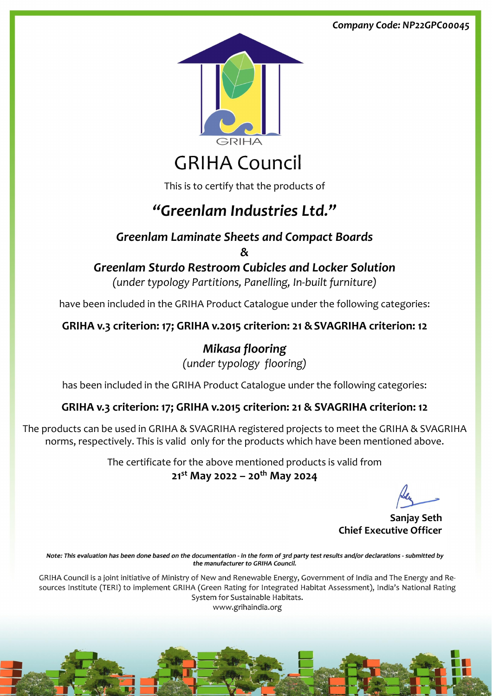This is to certify that the products of

# *"Greenlam Industries Ltd."*

### *Greenlam Laminate Sheets and Compact Boards*

*&*

## *Greenlam Sturdo Restroom Cubicles and Locker Solution*

*(under typology Partitions, Panelling, In-built furniture)*

have been included in the GRIHA Product Catalogue under the following categories:

#### **GRIHA v.3 criterion: 17; GRIHA v.2015 criterion: 21 &SVAGRIHA criterion: 12**

*Mikasa flooring (under typology flooring)*

has been included in the GRIHA Product Catalogue under the following categories:

#### **GRIHA v.3 criterion: 17; GRIHA v.2015 criterion: 21 & SVAGRIHA criterion: 12**

The products can be used in GRIHA & SVAGRIHA registered projects to meet the GRIHA & SVAGRIHA norms, respectively. This is valid only for the products which have been mentioned above.

> The certificate for the above mentioned products is valid from **21st May 2022 – 20th May 2024**

**Sanjay Seth**

#### **Chief Executive Officer**

Note: This evaluation has been done based on the documentation - in the form of 3rd party test results and/or declarations - submitted by the manufacturer to GRIHA Council.

GRIHA Council is a joint initiative of Ministry of New and Renewable Energy, Government of India and The Energy and Resources Institute (TERI) to implement GRIHA (Green Rating for Integrated Habitat Assessment), India's National Rating System for Sustainable Habitats. www.grihaindia.org

#### *Company Code: NP22GPC00045*



# **GRIHA Council**